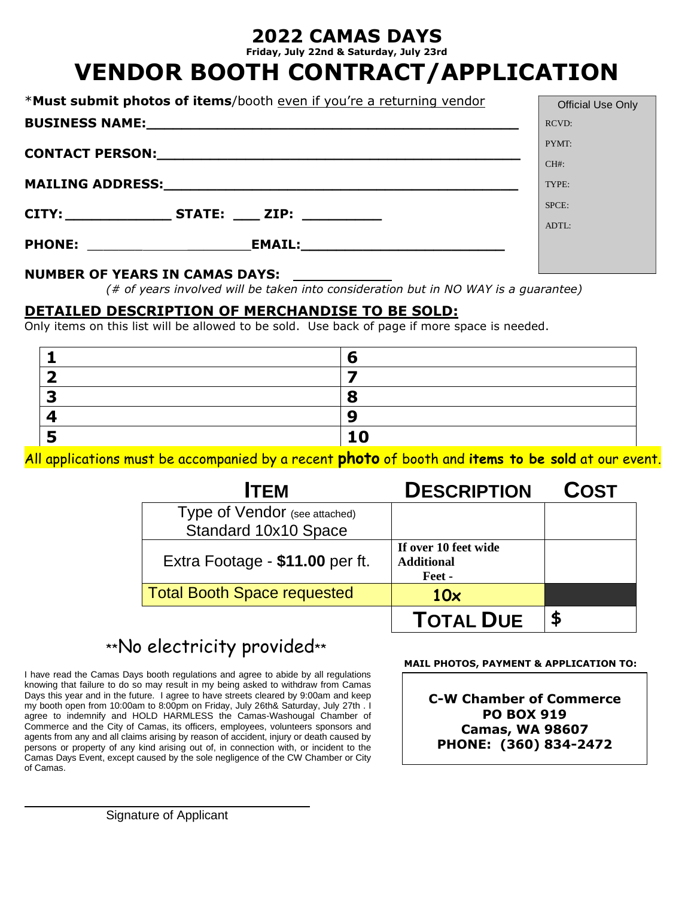## **2022 CAMAS DAYS**

**Friday, July 22nd & Saturday, July 23rd**

# **VENDOR BOOTH CONTRACT/APPLICATION**

| *Must submit photos of items/booth even if you're a returning vendor | <b>Official Use Only</b> |
|----------------------------------------------------------------------|--------------------------|
|                                                                      | <b>RCVD:</b>             |
|                                                                      | PYMT:                    |
|                                                                      | $CH#$ :                  |
|                                                                      | TYPE:                    |
| CITY:_________________STATE: _____ ZIP: ____________                 | SPCE:                    |
|                                                                      | ADTL:                    |
| PHONE: _______________________                                       |                          |
|                                                                      |                          |

#### **NUMBER OF YEARS IN CAMAS DAYS:**

*(# of years involved will be taken into consideration but in NO WAY is a guarantee)*

### **DETAILED DESCRIPTION OF MERCHANDISE TO BE SOLD:**

Only items on this list will be allowed to be sold. Use back of page if more space is needed.

All applications must be accompanied by a recent **photo** of booth and **items to be sold** at our event.

| <b>ITEM</b>                        | <b>DESCRIPTION</b>                                  | <b>COST</b> |
|------------------------------------|-----------------------------------------------------|-------------|
| Type of Vendor (see attached)      |                                                     |             |
| Standard 10x10 Space               |                                                     |             |
| Extra Footage - \$11.00 per ft.    | If over 10 feet wide<br><b>Additional</b><br>Feet - |             |
| <b>Total Booth Space requested</b> | 10x                                                 |             |
|                                    |                                                     |             |

## \*\*No electricity provided\*\*

I have read the Camas Days booth regulations and agree to abide by all regulations knowing that failure to do so may result in my being asked to withdraw from Camas Days this year and in the future. I agree to have streets cleared by 9:00am and keep my booth open from 10:00am to 8:00pm on Friday, July 26th& Saturday, July 27th . I agree to indemnify and HOLD HARMLESS the Camas-Washougal Chamber of Commerce and the City of Camas, its officers, employees, volunteers sponsors and agents from any and all claims arising by reason of accident, injury or death caused by persons or property of any kind arising out of, in connection with, or incident to the Camas Days Event, except caused by the sole negligence of the CW Chamber or City of Camas.

 **MAIL PHOTOS, PAYMENT & APPLICATION TO:**

**C-W Chamber of Commerce PO BOX 919 Camas, WA 98607 PHONE: (360) 834-2472**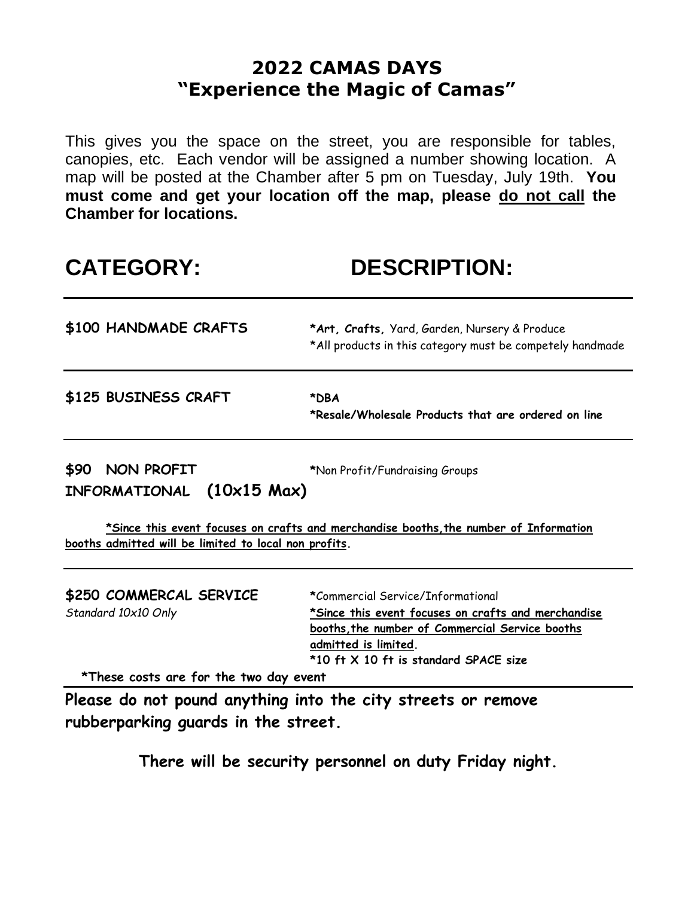## **2022 CAMAS DAYS "Experience the Magic of Camas"**

This gives you the space on the street, you are responsible for tables, canopies, etc. Each vendor will be assigned a number showing location. A map will be posted at the Chamber after 5 pm on Tuesday, July 19th. **You must come and get your location off the map, please do not call the Chamber for locations.** 

# **CATEGORY: DESCRIPTION:**

| \$100 HANDMADE CRAFTS                                | *Art, Crafts, Yard, Garden, Nursery & Produce<br>*All products in this category must be competely handmade |
|------------------------------------------------------|------------------------------------------------------------------------------------------------------------|
| \$125 BUSINESS CRAFT                                 | *DBA<br>*Resale/Wholesale Products that are ordered on line                                                |
| \$90<br>NON PROFIT<br>$(10x15$ Max)<br>INFORMATIONAL | *Non Profit/Fundraising Groups                                                                             |
|                                                      | *Since this event focuses on crafts and merchandise booths, the number of Information                      |

**booths admitted will be limited to local non profits.**

| \$250 COMMERCAL SERVICE | *Commercial Service/Informational                   |
|-------------------------|-----------------------------------------------------|
| Standard 10x10 Only     | *Since this event focuses on crafts and merchandise |
|                         | booths, the number of Commercial Service booths     |
|                         | admitted is limited.                                |
|                         | *10 ft X 10 ft is standard SPACE size               |

 **\*These costs are for the two day event** 

**Please do not pound anything into the city streets or remove rubberparking guards in the street.**

**There will be security personnel on duty Friday night.**